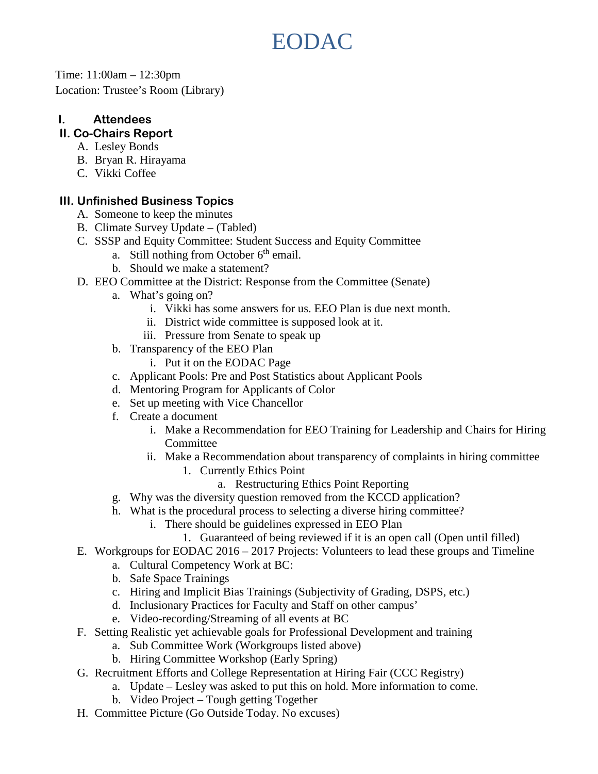# EODAC

Time: 11:00am – 12:30pm Location: Trustee's Room (Library)

## **I. Attendees**

## **II. Co-Chairs Report**

- A. Lesley Bonds
- B. Bryan R. Hirayama
- C. Vikki Coffee

#### **III. Unfinished Business Topics**

- A. Someone to keep the minutes
- B. Climate Survey Update (Tabled)
- C. SSSP and Equity Committee: Student Success and Equity Committee
	- a. Still nothing from October  $6<sup>th</sup>$  email.
	- b. Should we make a statement?
- D. EEO Committee at the District: Response from the Committee (Senate)
	- a. What's going on?
		- i. Vikki has some answers for us. EEO Plan is due next month.
		- ii. District wide committee is supposed look at it.
		- iii. Pressure from Senate to speak up
	- b. Transparency of the EEO Plan
		- i. Put it on the EODAC Page
	- c. Applicant Pools: Pre and Post Statistics about Applicant Pools
	- d. Mentoring Program for Applicants of Color
	- e. Set up meeting with Vice Chancellor
	- f. Create a document
		- i. Make a Recommendation for EEO Training for Leadership and Chairs for Hiring **Committee**
		- ii. Make a Recommendation about transparency of complaints in hiring committee
			- 1. Currently Ethics Point
				- a. Restructuring Ethics Point Reporting
	- g. Why was the diversity question removed from the KCCD application?
	- h. What is the procedural process to selecting a diverse hiring committee?
		- i. There should be guidelines expressed in EEO Plan
			- 1. Guaranteed of being reviewed if it is an open call (Open until filled)
- E. Workgroups for EODAC 2016 2017 Projects: Volunteers to lead these groups and Timeline
	- a. Cultural Competency Work at BC:
	- b. Safe Space Trainings
	- c. Hiring and Implicit Bias Trainings (Subjectivity of Grading, DSPS, etc.)
	- d. Inclusionary Practices for Faculty and Staff on other campus'
	- e. Video-recording/Streaming of all events at BC
- F. Setting Realistic yet achievable goals for Professional Development and training
	- a. Sub Committee Work (Workgroups listed above)
	- b. Hiring Committee Workshop (Early Spring)
- G. Recruitment Efforts and College Representation at Hiring Fair (CCC Registry)
	- a. Update Lesley was asked to put this on hold. More information to come.
	- b. Video Project Tough getting Together
- H. Committee Picture (Go Outside Today. No excuses)